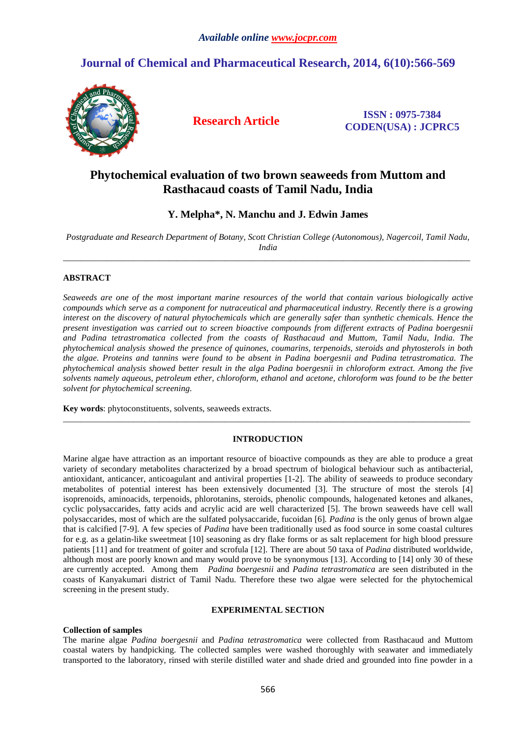# **Journal of Chemical and Pharmaceutical Research, 2014, 6(10):566-569**



**Research Article ISSN : 0975-7384 CODEN(USA) : JCPRC5**

# **Phytochemical evaluation of two brown seaweeds from Muttom and Rasthacaud coasts of Tamil Nadu, India**

**Y. Melpha\*, N. Manchu and J. Edwin James** 

*Postgraduate and Research Department of Botany, Scott Christian College (Autonomous), Nagercoil, Tamil Nadu, India*   $\overline{a}$  , and the contribution of the contribution of the contribution of the contribution of the contribution of the contribution of the contribution of the contribution of the contribution of the contribution of the co

## **ABSTRACT**

*Seaweeds are one of the most important marine resources of the world that contain various biologically active compounds which serve as a component for nutraceutical and pharmaceutical industry. Recently there is a growing interest on the discovery of natural phytochemicals which are generally safer than synthetic chemicals. Hence the present investigation was carried out to screen bioactive compounds from different extracts of Padina boergesnii and Padina tetrastromatica collected from the coasts of Rasthacaud and Muttom, Tamil Nadu, India. The phytochemical analysis showed the presence of quinones, coumarins, terpenoids, steroids and phytosterols in both the algae. Proteins and tannins were found to be absent in Padina boergesnii and Padina tetrastromatica. The phytochemical analysis showed better result in the alga Padina boergesnii in chloroform extract. Among the five solvents namely aqueous, petroleum ether, chloroform, ethanol and acetone, chloroform was found to be the better solvent for phytochemical screening.* 

**Key words**: phytoconstituents, solvents, seaweeds extracts.

### **INTRODUCTION**

\_\_\_\_\_\_\_\_\_\_\_\_\_\_\_\_\_\_\_\_\_\_\_\_\_\_\_\_\_\_\_\_\_\_\_\_\_\_\_\_\_\_\_\_\_\_\_\_\_\_\_\_\_\_\_\_\_\_\_\_\_\_\_\_\_\_\_\_\_\_\_\_\_\_\_\_\_\_\_\_\_\_\_\_\_\_\_\_\_\_\_\_\_

Marine algae have attraction as an important resource of bioactive compounds as they are able to produce a great variety of secondary metabolites characterized by a broad spectrum of biological behaviour such as antibacterial, antioxidant, anticancer, anticoagulant and antiviral properties [1-2]. The ability of seaweeds to produce secondary metabolites of potential interest has been extensively documented [3]. The structure of most the sterols [4] isoprenoids, aminoacids, terpenoids, phlorotanins, steroids, phenolic compounds, halogenated ketones and alkanes, cyclic polysaccarides, fatty acids and acrylic acid are well characterized [5]. The brown seaweeds have cell wall polysaccarides, most of which are the sulfated polysaccaride, fucoidan [6]*. Padina* is the only genus of brown algae that is calcified [7-9]. A few species of *Padina* have been traditionally used as food source in some coastal cultures for e.g. as a gelatin-like sweetmeat [10] seasoning as dry flake forms or as salt replacement for high blood pressure patients [11] and for treatment of goiter and scrofula [12]. There are about 50 taxa of *Padina* distributed worldwide, although most are poorly known and many would prove to be synonymous [13]. According to [14] only 30 of these are currently accepted. Among them *Padina boergesnii* and *Padina tetrastromatica* are seen distributed in the coasts of Kanyakumari district of Tamil Nadu. Therefore these two algae were selected for the phytochemical screening in the present study.

## **EXPERIMENTAL SECTION**

### **Collection of samples**

The marine algae *Padina boergesnii* and *Padina tetrastromatica* were collected from Rasthacaud and Muttom coastal waters by handpicking. The collected samples were washed thoroughly with seawater and immediately transported to the laboratory, rinsed with sterile distilled water and shade dried and grounded into fine powder in a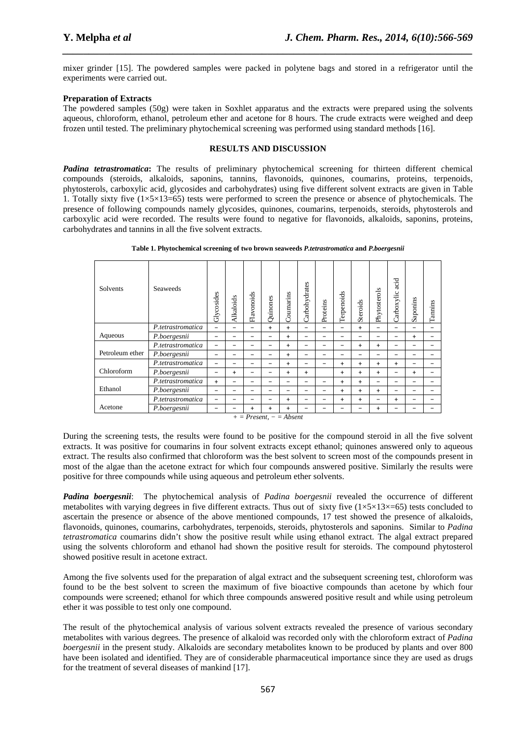mixer grinder [15]. The powdered samples were packed in polytene bags and stored in a refrigerator until the experiments were carried out.

*\_\_\_\_\_\_\_\_\_\_\_\_\_\_\_\_\_\_\_\_\_\_\_\_\_\_\_\_\_\_\_\_\_\_\_\_\_\_\_\_\_\_\_\_\_\_\_\_\_\_\_\_\_\_\_\_\_\_\_\_\_\_\_\_\_\_\_\_\_\_\_\_\_\_\_\_\_\_*

### **Preparation of Extracts**

The powdered samples (50g) were taken in Soxhlet apparatus and the extracts were prepared using the solvents aqueous, chloroform, ethanol, petroleum ether and acetone for 8 hours. The crude extracts were weighed and deep frozen until tested. The preliminary phytochemical screening was performed using standard methods [16].

## **RESULTS AND DISCUSSION**

*Padina tetrastromatica***:** The results of preliminary phytochemical screening for thirteen different chemical compounds (steroids, alkaloids, saponins, tannins, flavonoids, quinones, coumarins, proteins, terpenoids, phytosterols, carboxylic acid, glycosides and carbohydrates) using five different solvent extracts are given in Table 1. Totally sixty five  $(1\times5\times13=65)$  tests were performed to screen the presence or absence of phytochemicals. The presence of following compounds namely glycosides, quinones, coumarins, terpenoids, steroids, phytosterols and carboxylic acid were recorded. The results were found to negative for flavonoids, alkaloids, saponins, proteins, carbohydrates and tannins in all the five solvent extracts.

| <b>Seaweeds</b>   | Glycosides               | Alkaloids | Flavonoids               | <b>Quinones</b> | oumarins<br>r٦ | arbohydrates<br>ΓÌ | Proteins                 | Terpenoids | Steroids  | s<br>Phytosterol | acid<br>arboxylic<br>ΓÌ | aponins<br>Ö | Tannins |
|-------------------|--------------------------|-----------|--------------------------|-----------------|----------------|--------------------|--------------------------|------------|-----------|------------------|-------------------------|--------------|---------|
| P.tetrastromatica | $\overline{\phantom{0}}$ |           | -                        | $+$             | $\ddot{}$      | -                  | $\overline{\phantom{0}}$ | -          | $+$       |                  |                         |              |         |
| P.boergesnii      | -                        | -         | $\overline{\phantom{0}}$ | -               | $\ddot{}$      | -                  | $\overline{\phantom{0}}$ | -          | -         | -                | -                       | $\ddot{}$    |         |
| P.tetrastromatica | $\overline{\phantom{0}}$ | -         | -                        | -               | $+$            | -                  |                          | -          | $\ddot{}$ | $\ddot{}$        | -                       |              |         |
| P.boergesnii      | -                        | -         | -                        | -               | $+$            |                    |                          |            |           |                  | $\sim$                  |              |         |
| P.tetrastromatica | $\overline{\phantom{0}}$ | -         | -                        | -               | $+$            | -                  | -                        | $+$        | $\ddot{}$ | $\ddot{}$        | $\ddot{}$               | -            |         |
| P.boergesnii      | -                        | $+$       | $\overline{\phantom{0}}$ | -               | $\ddot{}$      | $\ddot{}$          |                          | $+$        | $\ddot{}$ | $\ddot{}$        | -                       | $+$          |         |
| P.tetrastromatica | $+$                      | -         | $\overline{\phantom{0}}$ | -               | -              | -                  | -                        | $+$        | $\ddot{}$ | -                | -                       |              |         |
| P.boergesnii      | -                        | -         | -                        |                 |                | -                  |                          | $+$        | $\ddot{}$ | $\ddot{}$        | -                       |              |         |
| P.tetrastromatica | -                        | -         | -                        | -               | $\ddot{}$      |                    |                          | $\ddot{}$  | $\ddot{}$ | -                | $+$                     |              |         |
| P.boergesnii      | -                        |           | $\ddot{}$                | $\ddot{}$       | $\ddot{}$      |                    |                          |            |           | $\ddot{}$        |                         |              |         |
|                   |                          |           |                          |                 |                |                    |                          |            |           |                  |                         |              |         |

**Table 1. Phytochemical screening of two brown seaweeds** *P.tetrastromatica* **and** *P.boergesnii*

*+ = Present, − = Absent* 

During the screening tests, the results were found to be positive for the compound steroid in all the five solvent extracts. It was positive for coumarins in four solvent extracts except ethanol; quinones answered only to aqueous extract. The results also confirmed that chloroform was the best solvent to screen most of the compounds present in most of the algae than the acetone extract for which four compounds answered positive. Similarly the results were positive for three compounds while using aqueous and petroleum ether solvents.

*Padina boergesnii*: The phytochemical analysis of *Padina boergesnii* revealed the occurrence of different metabolites with varying degrees in five different extracts. Thus out of sixty five  $(1\times5\times13\times=65)$  tests concluded to ascertain the presence or absence of the above mentioned compounds, 17 test showed the presence of alkaloids, flavonoids, quinones, coumarins, carbohydrates, terpenoids, steroids, phytosterols and saponins. Similar to *Padina tetrastromatica* coumarins didn't show the positive result while using ethanol extract. The algal extract prepared using the solvents chloroform and ethanol had shown the positive result for steroids. The compound phytosterol showed positive result in acetone extract.

Among the five solvents used for the preparation of algal extract and the subsequent screening test, chloroform was found to be the best solvent to screen the maximum of five bioactive compounds than acetone by which four compounds were screened; ethanol for which three compounds answered positive result and while using petroleum ether it was possible to test only one compound.

The result of the phytochemical analysis of various solvent extracts revealed the presence of various secondary metabolites with various degrees*.* The presence of alkaloid was recorded only with the chloroform extract of *Padina boergesnii* in the present study. Alkaloids are secondary metabolites known to be produced by plants and over 800 have been isolated and identified. They are of considerable pharmaceutical importance since they are used as drugs for the treatment of several diseases of mankind [17].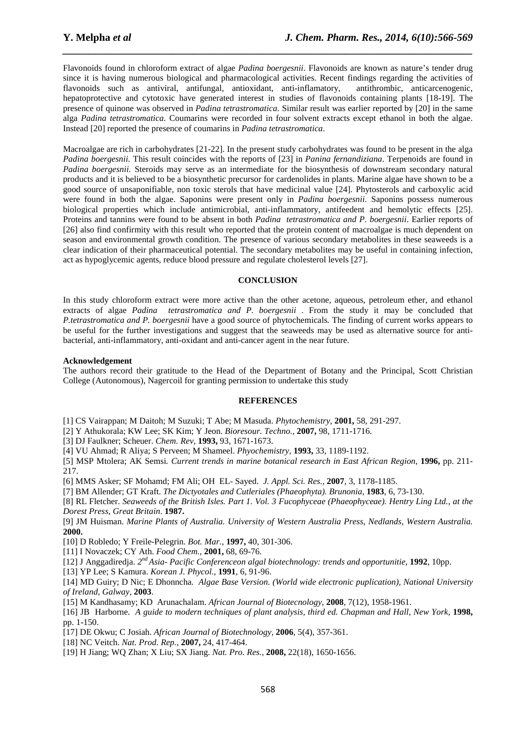Flavonoids found in chloroform extract of algae *Padina boergesnii*. Flavonoids are known as nature's tender drug since it is having numerous biological and pharmacological activities. Recent findings regarding the activities of flavonoids such as antiviral, antifungal, antioxidant, anti-inflamatory, antithrombic, anticarcenogenic, hepatoprotective and cytotoxic have generated interest in studies of flavonoids containing plants [18-19]. The presence of quinone was observed in *Padina tetrastromatica.* Similar result was earlier reported by [20] in the same alga *Padina tetrastromatica.* Coumarins were recorded in four solvent extracts except ethanol in both the algae. Instead [20] reported the presence of coumarins in *Padina tetrastromatica*.

*\_\_\_\_\_\_\_\_\_\_\_\_\_\_\_\_\_\_\_\_\_\_\_\_\_\_\_\_\_\_\_\_\_\_\_\_\_\_\_\_\_\_\_\_\_\_\_\_\_\_\_\_\_\_\_\_\_\_\_\_\_\_\_\_\_\_\_\_\_\_\_\_\_\_\_\_\_\_*

Macroalgae are rich in carbohydrates [21-22]. In the present study carbohydrates was found to be present in the alga *Padina boergesnii.* This result coincides with the reports of [23] in *Panina fernandiziana*. Terpenoids are found in *Padina boergesnii.* Steroids may serve as an intermediate for the biosynthesis of downstream secondary natural products and it is believed to be a biosynthetic precursor for cardenolides in plants. Marine algae have shown to be a good source of unsaponifiable, non toxic sterols that have medicinal value [24]. Phytosterols and carboxylic acid were found in both the algae. Saponins were present only in *Padina boergesnii*. Saponins possess numerous biological properties which include antimicrobial, anti-inflammatory, antifeedent and hemolytic effects [25]. Proteins and tannins were found to be absent in both *Padina tetrastromatica and P. boergesnii*. Earlier reports of [26] also find confirmity with this result who reported that the protein content of macroalgae is much dependent on season and environmental growth condition. The presence of various secondary metabolites in these seaweeds is a clear indication of their pharmaceutical potential. The secondary metabolites may be useful in containing infection, act as hypoglycemic agents, reduce blood pressure and regulate cholesterol levels [27].

#### **CONCLUSION**

In this study chloroform extract were more active than the other acetone, aqueous, petroleum ether, and ethanol extracts of algae *Padina tetrastromatica and P. boergesnii* . From the study it may be concluded that *P.tetrastromatica and P. boergesnii* have a good source of phytochemicals*.* The finding of current works appears to be useful for the further investigations and suggest that the seaweeds may be used as alternative source for antibacterial, anti-inflammatory, anti-oxidant and anti-cancer agent in the near future.

#### **Acknowledgement**

The authors record their gratitude to the Head of the Department of Botany and the Principal, Scott Christian College (Autonomous), Nagercoil for granting permission to undertake this study

### **REFERENCES**

[1] CS Vairappan; M Daitoh; M Suzuki; T Abe; M Masuda. *Phytochemistry*, **2001,** 58, 291-297.

- [2] Y Athukorala; KW Lee; SK Kim; Y Jeon. *Bioresour. Techno.,* **2007,** 98, 1711-1716.
- [3] DJ Faulkner; Scheuer. *Chem. Rev,* **1993,** 93, 1671-1673.
- [4] VU Ahmad; R Aliya; S Perveen; M Shameel. *Phyochemistry*, **1993,** 33, 1189-1192.

[5] MSP Mtolera; AK Semsi*. Current trends in marine botanical research in East African Region*, **1996,** pp. 211- 217.

[6] MMS Asker; SF Mohamd; FM Ali; OH EL- Sayed. *J. Appl. Sci. Res.,* **2007***,* 3, 1178-1185.

[7] BM Allender; GT Kraft. *The Dictyotales and Cutleriales (Phaeophyta). Brunonia*, **1983**, 6, 73-130.

[8] RL Fletcher. *Seaweeds of the British Isles. Part 1. Vol. 3 Fucophyceae (Phaeophyceae). Hentry Ling Ltd., at the Dorest Press, Great Britain*. **1987.**

[9] JM Huisman. *Marine Plants of Australia. University of Western Australia Press, Nedlands, Western Australia.* **2000.**

[10] D Robledo; Y Freile-Pelegrin. *Bot. Mar.*, **1997,** 40, 301-306.

[11] I Novaczek; CY Ath. *Food Chem.*, **2001,** 68, 69-76.

[12] J Anggadiredja. *2 nd Asia- Pacific Conferenceon algal biotechnology: trends and opportunitie,* **1992***,* 10pp.

[13] YP Lee; S Kamura. *Korean J. Phycol.*, **1991**, 6, 91-96.

[14] MD Guiry; D Nic; E Dhonncha. *Algae Base Version. (World wide electronic puplication), National University of Ireland, Galway,* **2003**.

[15] M Kandhasamy; KD Arunachalam. *African Journal of Biotecnology*, **2008**, 7(12), 1958-1961.

[16] JB Harborne. *A guide to modern techniques of plant analysis, third ed. Chapman and Hall, New York*, **1998,** pp. 1-150.

[17] DE Okwu; C Josiah. *African Journal of Biotechnology*, **2006**, 5(4), 357-361.

- [18] NC Veitch. *Nat. Prod. Rep.*, **2007,** 24, 417-464.
- [19] H Jiang; WQ Zhan; X Liu; SX Jiang. *Nat. Pro. Res.*, **2008,** 22(18), 1650-1656.